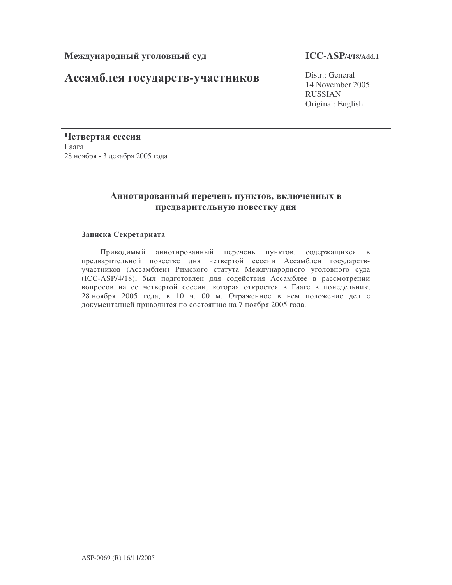# Ассамблея государств-участников

# **ICC-ASP/4/18/Add.1**

Distr.: General 14 November 2005 RUSSIAN Original: English

Четвертая сессия  $\Gamma$ aara 28 ноября - 3 декабря 2005 года

# Аннотированный перечень пунктов, включенных в предварительную повестку дня

## Записка Секретариата

Приводимый аннотированный перечень пунктов, содержащихся в предварительной повестке дня четвертой сессии Ассамблеи государствучастников (Ассамблеи) Римского статута Международного уголовного суда (ICC-ASP/4/18), был подготовлен для содействия Ассамблее в рассмотрении вопросов на ее четвертой сессии, которая откроется в Гааге в понедельник, 28 ноября 2005 года, в 10 ч. 00 м. Отраженное в нем положение дел с документацией приводится по состоянию на 7 ноября 2005 года.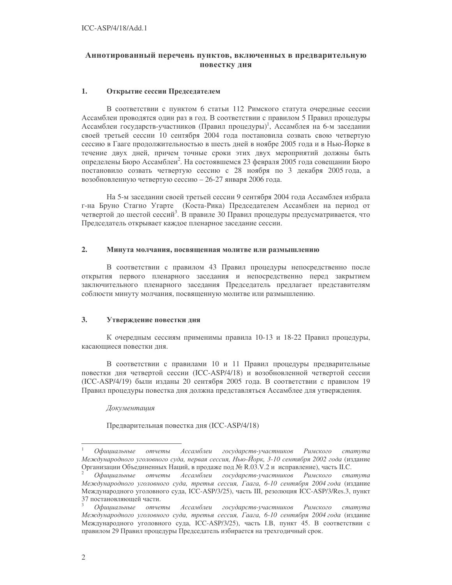# Аннотированный перечень пунктов, включенных в предварительную повестку дня

### 1. Открытие сессии Председателем

В соответствии с пунктом 6 статьи 112 Римского статута очередные сессии Ассамблеи проводятся один раз в год. В соответствии с правилом 5 Правил процедуры Ассамблеи государств-участников (Правил процедуры)<sup>1</sup>, Ассамблея на 6-м заседании своей третьей сессии 10 сентября 2004 года постановила созвать свою четвертую сессию в Гааге продолжительностью в шесть дней в ноябре 2005 года и в Нью-Йорке в течение двух дней, причем точные сроки этих двух мероприятий должны быть определены Бюро Ассамблеи<sup>2</sup>. На состоявшемся 23 февраля 2005 года совещании Бюро постановило созвать четвертую сессию с 28 ноября по 3 декабря 2005 года, а возобновленную четвертую сессию - 26-27 января 2006 года.

На 5-м заседании своей третьей сессии 9 сентября 2004 года Ассамблея избрала г-на Бруно Стагно Угарте (Коста-Рика) Председателем Ассамблеи на период от четвертой до шестой сессий<sup>3</sup>. В правиле 30 Правил процедуры предусматривается, что Председатель открывает каждое пленарное заседание сессии.

#### $2.$ Минута молчания, посвященная молитве или размышлению

В соответствии с правилом 43 Правил процедуры непосредственно после открытия первого пленарного заседания и непосредственно перед закрытием заключительного пленарного заседания Председатель предлагает представителям соблюсти минуту молчания, посвященную молитве или размышлению.

#### $3.$ Утверждение повестки дня

К очередным сессиям применимы правила 10-13 и 18-22 Правил процедуры, касающиеся повестки дня.

В соответствии с правилами 10 и 11 Правил процедуры предварительные повестки дня четвертой сессии (ICC-ASP/4/18) и возобновленной четвертой сессии (ICC-ASP/4/19) были изданы 20 сентября 2005 года. В соответствии с правилом 19 Правил процедуры повестка дня должна представляться Ассамблее для утверждения.

### Документация

Предварительная повестка дня (ICC-ASP/4/18)

Официальные государств-участников Римского статута отчеты Ассамблеи Международного уголовного суда, первая сессия, Нью-Йорк, 3-10 сентября 2002 года (издание Организации Объединенных Наций, в продаже под № R.03.V.2 и исправление), часть II.С.

Официальные отчеты Ассамблеи государств-участников Римского статута Международного уголовного суда, третья сессия, Гаага, 6-10 сентября 2004 года (издание Международного уголовного суда, ICC-ASP/3/25), часть III, резолюция ICC-ASP/3/Res.3, пункт 37 постановляющей части.

Официальные отчеты Ассамблеи государств-участников Римского cmamyma Международного уголовного суда, третья сессия, Гаага, 6-10 сентября 2004 года (издание Международного уголовного суда, ICC-ASP/3/25), часть I.В, пункт 45. В соответствии с правилом 29 Правил процедуры Председатель избирается на трехгодичный срок.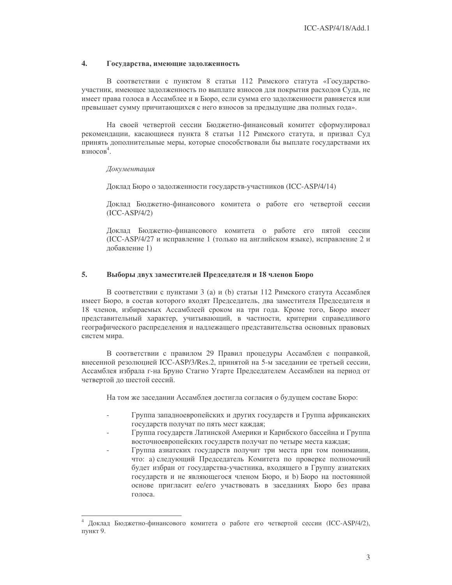### $\overline{4}$ . Государства, имеющие задолженность

В соответствии с пунктом 8 статьи 112 Римского статута «Государствоучастник, имеющее задолженность по выплате взносов для покрытия расходов Суда, не имеет права голоса в Ассамблее и в Бюро, если сумма его задолженности равняется или превышает сумму причитающихся с него взносов за предыдущие два полных года».

На своей четвертой сессии Бюджетно-финансовый комитет сформулировал рекомендации, касающиеся пункта 8 статьи 112 Римского статута, и призвал Суд принять дополнительные меры, которые способствовали бы выплате государствами их взносов<sup>4</sup>.

### Документашия

Доклад Бюро о задолженности государств-участников (ICC-ASP/4/14)

Доклад Бюджетно-финансового комитета о работе его четвертой сессии  $(ICC-ASP/4/2)$ 

Доклад Бюджетно-финансового комитета о работе его пятой сессии (ICC-ASP/4/27 и исправление 1 (только на английском языке), исправление 2 и добавление 1)

#### 5. Выборы двух заместителей Председателя и 18 членов Бюро

В соответствии с пунктами 3 (а) и (b) статьи 112 Римского статута Ассамблея имеет Бюро, в состав которого входят Председатель, два заместителя Председателя и 18 членов, избираемых Ассамблеей сроком на три года. Кроме того, Бюро имеет представительный характер, учитывающий, в частности, критерии справедливого географического распределения и надлежащего представительства основных правовых систем мира.

В соответствии с правилом 29 Правил процедуры Ассамблеи с поправкой, внесенной резолюцией ICC-ASP/3/Res.2, принятой на 5-м заседании ее третьей сессии, Ассамблея избрала г-на Бруно Стагно Угарте Председателем Ассамблеи на период от четвертой до шестой сессий.

На том же заседании Ассамблея достигла согласия о будущем составе Бюро:

- Группа западноевропейских и других государств и Группа африканских государств получат по пять мест каждая;
- Группа государств Латинской Америки и Карибского бассейна и Группа восточноевропейских государств получат по четыре места каждая;
- Группа азиатских государств получит три места при том понимании, что: а) следующий Председатель Комитета по проверке полномочий будет избран от государства-участника, входящего в Группу азиатских государств и не являющегося членом Бюро, и b) Бюро на постоянной основе пригласит ее/его участвовать в заседаниях Бюро без права голоса

Доклад Бюджетно-финансового комитета о работе его четвертой сессии (ICC-ASP/4/2), пункт 9.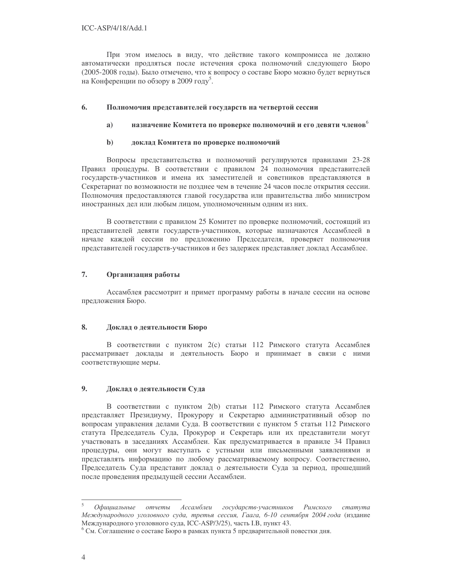При этом имелось в виду, что действие такого компромисса не должно автоматически продляться после истечения срока полномочий следующего Бюро (2005-2008 годы). Было отмечено, что к вопросу о составе Бюро можно будет вернуться на Конференции по обзору в 2009 году<sup>5</sup>.

#### 6. Полномочия представителей государств на четвертой сессии

#### $a)$ назначение Комитета по проверке полномочий и его девяти членов

#### $\mathbf{b}$ доклад Комитета по проверке полномочий

Вопросы представительства и полномочий регулируются правилами 23-28 Правил процедуры. В соответствии с правилом 24 полномочия представителей государств-участников и имена их заместителей и советников представляются в Секретариат по возможности не позднее чем в течение 24 часов после открытия сессии. Полномочия предоставляются главой государства или правительства либо министром иностранных дел или любым лицом, уполномоченным одним из них.

В соответствии с правилом 25 Комитет по проверке полномочий, состоящий из представителей девяти государств-участников, которые назначаются Ассамблеей в начале каждой сессии по предложению Председателя, проверяет полномочия представителей государств-участников и без задержек представляет доклад Ассамблее.

### $7.$ Организация работы

Ассамблея рассмотрит и примет программу работы в начале сессии на основе предложения Бюро.

### 8. Доклад о деятельности Бюро

В соответствии с пунктом 2(с) статьи 112 Римского статута Ассамблея рассматривает доклады и деятельность Бюро и принимает в связи с ними соответствующие меры.

### $9<sub>1</sub>$ Доклад о деятельности Суда

В соответствии с пунктом 2(b) статьи 112 Римского статута Ассамблея представляет Президиуму, Прокурору и Секретарю административный обзор по вопросам управления делами Суда. В соответствии с пунктом 5 статьи 112 Римского статута Председатель Суда, Прокурор и Секретарь или их представители могут участвовать в заседаниях Ассамблеи. Как предусматривается в правиле 34 Правил процедуры, они могут выступать с устными или письменными заявлениями и представлять информацию по любому рассматриваемому вопросу. Соответственно, Председатель Суда представит доклад о деятельности Суда за период, прошедший после проведения предыдущей сессии Ассамблеи.

Офишиальные отчеты Ассамблеи государств-участников Римского cmamyma Международного уголовного суда, третья сессия, Гаага, 6-10 сентября 2004 года (издание Международного уголовного суда, ICC-ASP/3/25), часть I.B, пункт 43.

<sup>&</sup>lt;sup>6</sup> См. Соглашение о составе Бюро в рамках пункта 5 предварительной повестки дня.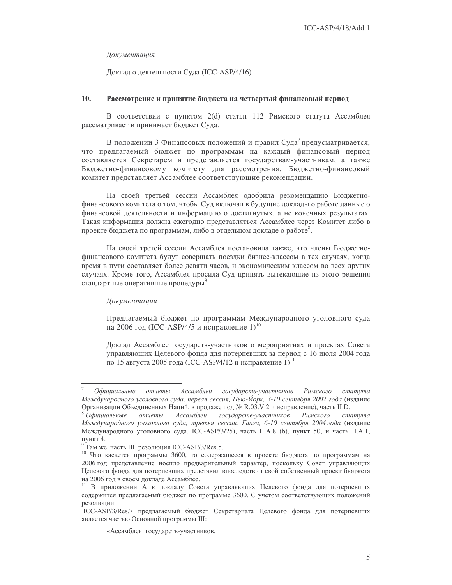### Документация

Доклад о деятельности Суда (ICC-ASP/4/16)

#### 10. Рассмотрение и принятие бюджета на четвертый финансовый период

В соответствии с пунктом 2(d) статьи 112 Римского статута Ассамблея рассматривает и принимает бюджет Суда.

В положении 3 Финансовых положений и правил Суда<sup>7</sup> предусматривается, что предлагаемый бюджет по программам на каждый финансовый период составляется Секретарем и представляется государствам-участникам, а также Бюджетно-финансовому комитету для рассмотрения. Бюджетно-финансовый комитет представляет Ассамблее соответствующие рекомендации.

На своей третьей сессии Ассамблея одобрила рекомендацию Бюджетнофинансового комитета о том, чтобы Суд включал в будущие доклады о работе данные о финансовой деятельности и информацию о достигнутых, а не конечных результатах. Такая информация должна ежегодно представляться Ассамблее через Комитет либо в проекте бюджета по программам, либо в отдельном докладе о работе<sup>8</sup>.

На своей третей сессии Ассамблея постановила также, что члены Бюджетнофинансового комитета будут совершать поездки бизнес-классом в тех случаях, когда время в пути составляет более девяти часов, и экономическим классом во всех других случаях. Кроме того, Ассамблея просила Суд принять вытекающие из этого решения стандартные оперативные процедуры<sup>9</sup>.

## Документация

Предлагаемый бюджет по программам Международного уголовного суда на 2006 год (ICC-ASP/4/5 и исправление 1)<sup>10</sup>

Доклад Ассамблее государств-участников о мероприятиях и проектах Совета управляющих Целевого фонда для потерпевших за период с 16 июля 2004 года по 15 августа 2005 года (ICC-ASP/4/12 и исправление 1)<sup>11</sup>

Римского cmamyma Офишиальные отчеты Ассамблеи государств-участников Международного уголовного суда, первая сессия, Нью-Йорк, 3-10 сентября 2002 года (издание Организации Объединенных Наций, в продаже под № R.03.V.2 и исправление), часть II.D.

 $8$  Официальные отчеты Ассамблеи государств-участников Римского cmamyma Международного уголовного суда, третья сессия, Гаага, 6-10 сентября 2004 года (издание Международного уголовного суда, ICC-ASP/3/25), часть II.A.8 (b), пункт 50, и часть II.A.1, пункт 4.

<sup>&</sup>lt;sup>9</sup> Там же, часть III, резолюция ICC-ASP/3/Res.5.

<sup>10</sup> Что касается программы 3600, то содержащееся в проекте бюджета по программам на 2006 год представление носило предварительный характер, поскольку Совет управляющих Целевого фонда для потерпевших представил впоследствии свой собственный проект бюджета на 2006 год в своем докладе Ассамблее.

<sup>11</sup> В приложении А к докладу Совета управляющих Целевого фонда для потерпевших содержится предлагаемый бюджет по программе 3600. С учетом соответствующих положений резолюции

ICC-ASP/3/Res.7 предлагаемый бюджет Секретариата Целевого фонда для потерпевших является частью Основной программы III:

<sup>«</sup>Ассамблея государств-участников,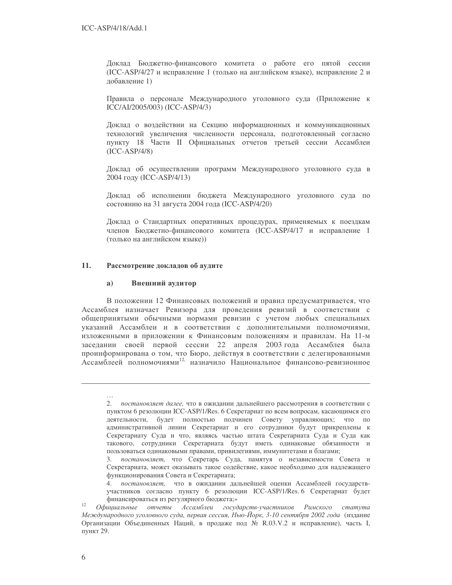Доклад Бюджетно-финансового комитета о работе его пятой сессии (ICC-ASP/4/27 и исправление 1 (только на английском языке), исправление 2 и добавление 1)

Правила о персонале Международного уголовного суда (Приложение к ICC/AI/2005/003) (ICC-ASP/4/3)

Доклад о воздействии на Секцию информационных и коммуникационных технологий увеличения численности персонала, подготовленный согласно пункту 18 Части II Официальных отчетов третьей сессии Ассамблеи  $(ICC-ASP/4/8)$ 

Доклад об осуществлении программ Международного уголовного суда в 2004 году (ICC-ASP/4/13)

Доклад об исполнении бюджета Международного уголовного суда по состоянию на 31 августа 2004 года (ICC-ASP/4/20)

Доклад о Стандартных оперативных процедурах, применяемых к поездкам членов Бюджетно-финансового комитета (ICC-ASP/4/17 и исправление 1 (только на английском языке))

### 11. Рассмотрение докладов об аудите

#### Внешний аудитор  $a)$

В положении 12 Финансовых положений и правил предусматривается, что Ассамблея назначает Ревизора для проведения ревизий в соответствии с общепринятыми обычными нормами ревизии с учетом любых специальных указаний Ассамблеи и в соответствии с дополнительными полномочиями, изложенными в приложении к Финансовым положениям и правилам. На 11-м заседании своей первой сессии 22 апреля 2003 года Ассамблея была проинформирована о том, что Бюро, действуя в соответствии с делегированными Ассамблеей полномочиями<sup>12,</sup> назначило Национальное финансово-ревизионное

<sup>2.</sup> постановляет далее, что в ожидании дальнейшего рассмотрения в соответствии с пунктом 6 резолюции ICC-ASP/1/Res. 6 Секретариат по всем вопросам, касающимся его деятельности, будет полностью подчинен Совету управляющих; что по административной линии Секретариат и его сотрудники будут прикреплены к Секретариату Суда и что, являясь частью штата Секретариата Суда и Суда как такового, сотрудники Секретариата будут иметь одинаковые обязанности и пользоваться одинаковыми правами, привилегиями, иммунитетами и благами;

<sup>3.</sup> постановляет, что Секретарь Суда, памятуя о независимости Совета и Секретариата, может оказывать такое содействие, какое необходимо для надлежащего функционирования Совета и Секретариата;

<sup>4.</sup> постановляет, что в ожидании дальнейшей оценки Ассамблеей государствучастников согласно пункту 6 резолюции ICC-ASP/1/Res. 6 Секретариат будет финансироваться из регулярного бюджета;»

<sup>12</sup> Официальные отчеты Ассамблеи государств-участников Римского статута Международного уголовного суда, первая сессия, Нью-Йорк, 3-10 сентября 2002 года (издание Организации Объединенных Наций, в продаже под № R.03.V.2 и исправление), часть I, пункт 29.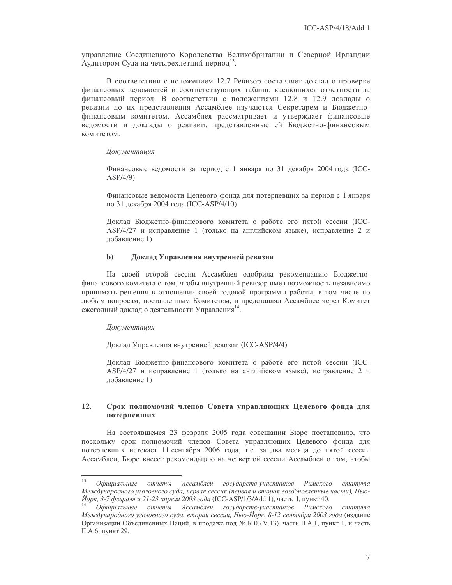управление Соединенного Королевства Великобритании и Северной Ирландии Аудитором Суда на четырехлетний период<sup>13</sup>.

В соответствии с положением 12.7 Ревизор составляет доклад о проверке финансовых ведомостей и соответствующих таблиц, касающихся отчетности за финансовый период. В соответствии с положениями 12.8 и 12.9 доклады о ревизии до их представления Ассамблее изучаются Секретарем и Бюджетнофинансовым комитетом. Ассамблея рассматривает и утверждает финансовые ведомости и доклады о ревизии, представленные ей Бюджетно-финансовым комитетом.

### Документация

Финансовые ведомости за период с 1 января по 31 декабря 2004 года (ICC- $ASP/4/9$ 

Финансовые ведомости Целевого фонда для потерпевших за период с 1 января по 31 декабря 2004 года (ICC-ASP/4/10)

Доклад Бюджетно-финансового комитета о работе его пятой сессии (ICC-ASP/4/27 и исправление 1 (только на английском языке), исправление 2 и лобавление 1)

#### $\mathbf{b}$ Доклад Управления внутренней ревизии

На своей второй сессии Ассамблея одобрила рекомендацию Бюджетнофинансового комитета о том, чтобы внутренний ревизор имел возможность независимо принимать решения в отношении своей годовой программы работы, в том числе по любым вопросам, поставленным Комитетом, и представлял Ассамблее через Комитет ежегодный доклад о деятельности Управления<sup>14</sup>.

### Документация

Доклад Управления внутренней ревизии (ICC-ASP/4/4)

Доклад Бюджетно-финансового комитета о работе его пятой сессии (ICC-ASP/4/27 и исправление 1 (только на английском языке), исправление 2 и лобавление 1)

### $12.$ Срок полномочий членов Совета управляющих Целевого фонда для потерпевших

На состоявшемся 23 февраля 2005 года совещании Бюро постановило, что поскольку срок полномочий членов Совета управляющих Целевого фонда для потерпевших истекает 11 сентября 2006 года, т.е. за два месяца до пятой сессии Ассамблеи, Бюро внесет рекомендацию на четвертой сессии Ассамблеи о том, чтобы

<sup>13</sup> отчеты Ассамблеи государств-участников Офишиальные Римского cmamyma Международного уголовного суда, первая сессия (первая и вторая возобновленные части), Нью- $\check{M}$ орк, 3-7 февраля и 21-23 апреля 2003 года (ICC-ASP/1/3/Add.1), часть I, пункт 40.

Офишиальные отчеты Ассамблеи государств-участников Римского cmamyma Международного уголовного суда, вторая сессия, Нью-Йорк, 8-12 сентября 2003 года (издание Организации Объединенных Наций, в продаже под № R.03.V.13), часть II.A.1, пункт 1, и часть II.А.6, пункт 29.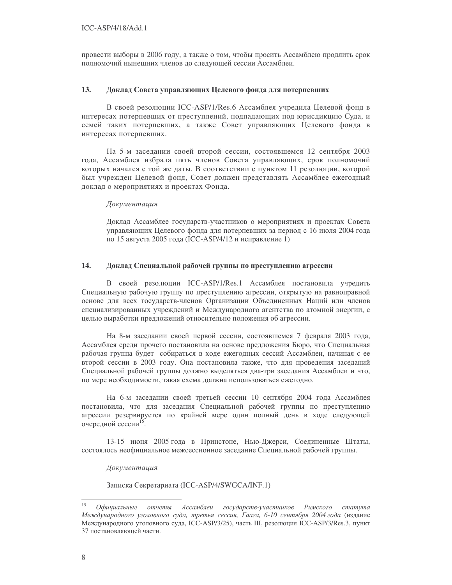провести выборы в 2006 году, а также о том, чтобы просить Ассамблею продлить срок полномочий нынешних членов до следующей сессии Ассамблеи.

#### 13. Доклад Совета управляющих Целевого фонда для потерпевших

В своей резолюции ICC-ASP/1/Res.6 Ассамблея учредила Целевой фонд в интересах потерпевших от преступлений, подпадающих под юрисдикцию Суда, и семей таких потерпевших, а также Совет управляющих Целевого фонда в интересах потерпевших.

На 5-м заседании своей второй сессии, состоявшемся 12 сентября 2003 года, Ассамблея избрала пять членов Совета управляющих, срок полномочий которых начался с той же даты. В соответствии с пунктом 11 резолюции, которой был учрежден Целевой фонд, Совет должен представлять Ассамблее ежегодный доклад о мероприятиях и проектах Фонда.

### Документация

Доклад Ассамблее государств-участников о мероприятиях и проектах Совета управляющих Целевого фонда для потерпевших за период с 16 июля 2004 года по 15 августа 2005 года (ICC-ASP/4/12 и исправление 1)

#### 14. Доклад Специальной рабочей группы по преступлению агрессии

В своей резолюции ICC-ASP/1/Res.1 Ассамблея постановила учредить Специальную рабочую группу по преступлению агрессии, открытую на равноправной основе для всех государств-членов Организации Объединенных Наций или членов специализированных учреждений и Международного агентства по атомной энергии, с целью выработки предложений относительно положения об агрессии.

На 8-м заседании своей первой сессии, состоявшемся 7 февраля 2003 года, Ассамблея среди прочего постановила на основе предложения Бюро, что Специальная рабочая группа будет собираться в ходе ежегодных сессий Ассамблеи, начиная с ее второй сессии в 2003 году. Она постановила также, что для проведения заседаний Специальной рабочей группы должно выделяться два-три заседания Ассамблеи и что, по мере необходимости, такая схема должна использоваться ежегодно.

На 6-м заседании своей третьей сессии 10 сентября 2004 года Ассамблея постановила, что для заседания Специальной рабочей группы по преступлению агрессии резервируется по крайней мере один полный день в ходе следующей очередной сессии<sup>15</sup>.

13-15 июня 2005 года в Принстоне, Нью-Джерси, Соединенные Штаты, состоялось неофициальное межсессионное заседание Специальной рабочей группы.

Документация

Записка Секретариата (ICC-ASP/4/SWGCA/INF.1)

<sup>15</sup> Офишальные отчеты Ассамблеи государств-участников Римского  $c$ mamyma Международного уголовного суда, третья сессия, Гаага, 6-10 сентября 2004 года (издание Международного уголовного суда, ICC-ASP/3/25), часть III, резолюция ICC-ASP/3/Res.3, пункт 37 постановляющей части.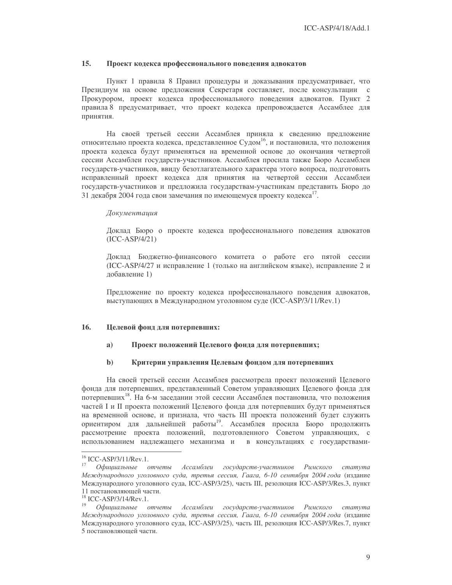### $15.$ Проект кодекса профессионального поведения адвокатов

Пункт 1 правила 8 Правил процедуры и доказывания предусматривает, что Президиум на основе предложения Секретаря составляет, после консультации с Прокурором, проект кодекса профессионального поведения адвокатов. Пункт 2 правила 8 предусматривает, что проект кодекса препровождается Ассамблее для принятия.

На своей третьей сессии Ассамблея приняла к сведению предложение относительно проекта кодекса, представленное Судом<sup>16</sup>, и постановила, что положения проекта кодекса будут применяться на временной основе до окончания четвертой сессии Ассамблеи государств-участников. Ассамблея просила также Бюро Ассамблеи государств-участников, ввиду безотлагательного характера этого вопроса, подготовить исправленный проект кодекса для принятия на четвертой сессии Ассамблеи государств-участников и предложила государствам-участникам представить Бюро до 31 декабря 2004 года свои замечания по имеющемуся проекту кодекса<sup>17</sup>.

### Документация

Доклад Бюро о проекте кодекса профессионального поведения адвокатов  $(ICC-ASP/4/21)$ 

Доклад Бюджетно-финансового комитета о работе его пятой сессии (ICC-ASP/4/27 и исправление 1 (только на английском языке), исправление 2 и добавление 1)

Предложение по проекту кодекса профессионального поведения адвокатов, выступающих в Международном уголовном суде (ICC-ASP/3/11/Rev.1)

#### 16. Целевой фонд для потерпевших:

#### $a)$ Проект положений Целевого фонда для потерпевших;

#### $\mathbf{b}$ Критерии управления Целевым фондом для потерпевших

На своей третьей сессии Ассамблея рассмотрела проект положений Целевого фонда для потерпевших, представленный Советом управляющих Целевого фонда для потерпевших<sup>18</sup>. На 6-м заседании этой сессии Ассамблея постановила, что положения частей I и II проекта положений Целевого фонда для потерпевших будут применяться на временной основе, и признала, что часть III проекта положений будет служить ориентиром для дальнейшей работы<sup>19</sup>. Ассамблея просила Бюро продолжить рассмотрение проекта положений, подготовленного Советом управляющих, с использованием надлежащего механизма и в консультациях с государствами-

 $16$  ICC-ASP/3/11/Rev.1.

<sup>17</sup> Официальные отчеты Ассамблеи государств-участников Римского статута Международного уголовного суда, третья сессия, Гаага, 6-10 сентября 2004 года (издание Международного уголовного суда, ICC-ASP/3/25), часть III, резолюция ICC-ASP/3/Res.3, пункт 11 постановляющей части.

 $18$  ICC-ASP/3/14/Rev.1.

 $19\,$ Офишиальные отчеты Ассамблеи государств-участников Римского  $c$ mamyma Международного уголовного суда, третья сессия, Гаага, 6-10 сентября 2004 года (издание Международного уголовного суда, ICC-ASP/3/25), часть III, резолюция ICC-ASP/3/Res.7, пункт 5 постановляющей части.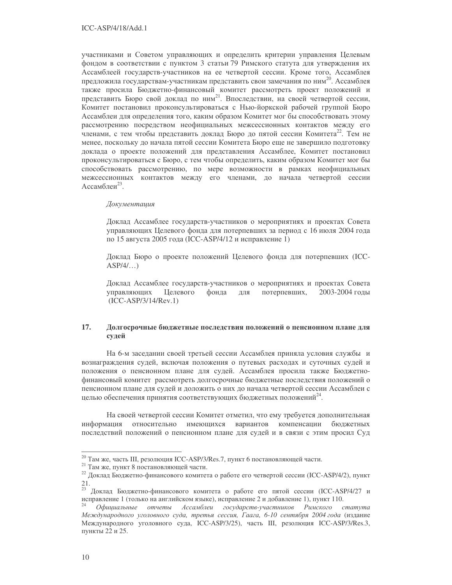участниками и Советом управляющих и определить критерии управления Целевым фондом в соответствии с пунктом 3 статьи 79 Римского статута для утверждения их Ассамблеей государств-участников на ее четвертой сессии. Кроме того, Ассамблея предложила государствам-участникам представить свои замечания по ним<sup>20</sup>. Ассамблея также просила Бюджетно-финансовый комитет рассмотреть проект положений и представить Бюро свой доклад по ним<sup>21</sup>. Впоследствии, на своей четвертой сессии, Комитет постановил проконсультироваться с Нью-йоркской рабочей группой Бюро Ассамблеи для определения того, каким образом Комитет мог бы способствовать этому рассмотрению посредством неофициальных межсессионных контактов между его членами, с тем чтобы представить доклад Бюро до пятой сессии Комитета<sup>22</sup>. Тем не менее, поскольку до начала пятой сессии Комитета Бюро еще не завершило подготовку доклада о проекте положений для представления Ассамблее, Комитет постановил проконсультироваться с Бюро, с тем чтобы определить, каким образом Комитет мог бы способствовать рассмотрению, по мере возможности в рамках неофициальных межсессионных контактов между его членами, до начала четвертой сессии Ассамблеи<sup>23</sup>.

### Документация

Доклад Ассамблее государств-участников о мероприятиях и проектах Совета управляющих Целевого фонда для потерпевших за период с 16 июля 2004 года по 15 августа 2005 года (ICC-ASP/4/12 и исправление 1)

Доклад Бюро о проекте положений Целевого фонда для потерпевших (ICC- $ASP/4/...$ 

Доклад Ассамблее государств-участников о мероприятиях и проектах Совета управляющих Целевого фонда ДЛЯ потерпевших, 2003-2004 годы  $(ICC-ASP/3/14/Rev.1)$ 

### 17. Долгосрочные бюджетные последствия положений о пенсионном плане для судей

На 6-м заседании своей третьей сессии Ассамблея приняла условия службы и вознаграждения судей, включая положения о путевых расходах и суточных судей и положения о пенсионном плане для судей. Ассамблея просила также Бюджетнофинансовый комитет рассмотреть долгосрочные бюджетные последствия положений о пенсионном плане для судей и доложить о них до начала четвертой сессии Ассамблеи с целью обеспечения принятия соответствующих бюджетных положений<sup>24</sup>.

На своей четвертой сессии Комитет отметил, что ему требуется дополнительная информация относительно имеющихся вариантов компенсации бюджетных последствий положений о пенсионном плане для судей и в связи с этим просил Суд

<sup>&</sup>lt;sup>20</sup> Там же, часть III, резолюция ICC-ASP/3/Res.7, пункт 6 постановляющей части.

 $21$  Там же, пункт 8 постановляющей части.

<sup>&</sup>lt;sup>22</sup> Доклад Бюджетно-финансового комитета о работе его четвертой сессии (ICC-ASP/4/2), пункт 21.

<sup>23</sup> Доклад Бюджетно-финансового комитета о работе его пятой сессии (ICC-ASP/4/27 и исправление 1 (только на английском языке), исправление 2 и добавление 1), пункт 110.

Официальные отчеты Ассамблеи государств-участников Римского cmamyma Международного уголовного суда, третья сессия, Гаага, 6-10 сентября 2004 года (издание Международного уголовного суда, ICC-ASP/3/25), часть III, резолюция ICC-ASP/3/Res.3, пункты 22 и 25.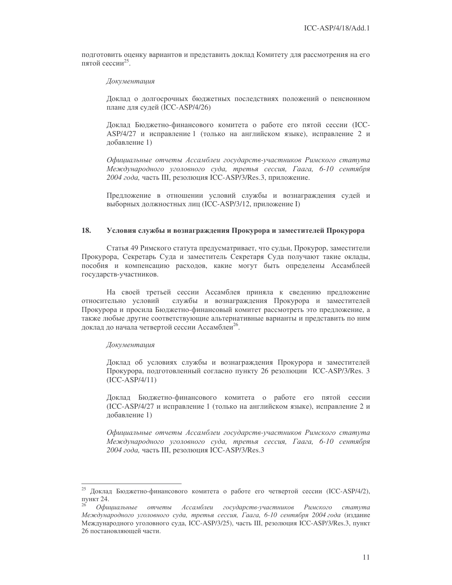подготовить оценку вариантов и представить доклад Комитету для рассмотрения на его пятой сессии<sup>25</sup>.

### Документация

Доклад о долгосрочных бюджетных последствиях положений о пенсионном плане для судей (ICC-ASP/4/26)

Доклад Бюджетно-финансового комитета о работе его пятой сессии (ICC-ASP/4/27 и исправление 1 (только на английском языке), исправление 2 и добавление 1)

Официальные отчеты Ассамблеи государств-участников Римского статута Международного уголовного суда, третья сессия, Гаага, 6-10 сентября 2004 года, часть III, резолюция ICC-ASP/3/Res.3, приложение.

Предложение в отношении условий службы и вознаграждения судей и выборных должностных лиц (ICC-ASP/3/12, приложение I)

#### 18. Условия службы и вознаграждения Прокурора и заместителей Прокурора

Статья 49 Римского статута предусматривает, что судьи, Прокурор, заместители Прокурора, Секретарь Суда и заместитель Секретаря Суда получают такие оклады, пособия и компенсацию расходов, какие могут быть определены Ассамблеей государств-участников.

На своей третьей сессии Ассамблея приняла к сведению предложение относительно условий службы и вознаграждения Прокурора и заместителей Прокурора и просила Бюджетно-финансовый комитет рассмотреть это предложение, а также любые другие соответствующие альтернативные варианты и представить по ним доклад до начала четвертой сессии Ассамблеи<sup>26</sup>.

### Документация

Доклад об условиях службы и вознаграждения Прокурора и заместителей Прокурора, подготовленный согласно пункту 26 резолюции ICC-ASP/3/Res. 3  $(ICC-ASP/4/11)$ 

Доклад Бюджетно-финансового комитета о работе его пятой сессии (ICC-ASP/4/27 и исправление 1 (только на английском языке), исправление 2 и добавление 1)

Официальные отчеты Ассамблеи государств-участников Римского статута Международного уголовного суда, третья сессия, Гаага, 6-10 сентября 2004 года, часть III, резолюция ICC-ASP/3/Res.3

<sup>25</sup> Доклад Бюджетно-финансового комитета о работе его четвертой сессии (ICC-ASP/4/2), пункт 24.

Офишиальные отчеты Ассамблеи государств-участников Римского  $c$ mamyma Международного уголовного суда, третья сессия, Гаага, 6-10 сентября 2004 года (издание Международного уголовного суда, ICC-ASP/3/25), часть III, резолюция ICC-ASP/3/Res.3, пункт 26 постановляющей части.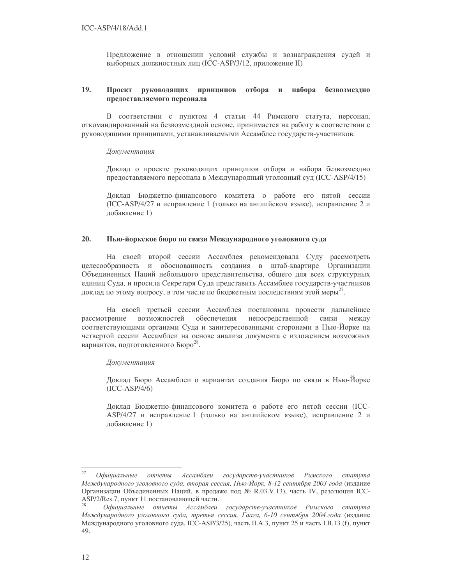Предложение в отношении условий службы и вознаграждения судей и выборных должностных лиц (ICC-ASP/3/12, приложение II)

#### 19. Проект руководящих принципов отбора и набора безвозмездно предоставляемого персонала

В соответствии с пунктом 4 статьи 44 Римского статута, персонал, откомандированный на безвозмездной основе, принимается на работу в соответствии с руководящими принципами, устанавливаемыми Ассамблее государств-участников.

### Документация

Доклад о проекте руководящих принципов отбора и набора безвозмездно предоставляемого персонала в Международный уголовный суд (ICC-ASP/4/15)

Доклад Бюджетно-финансового комитета о работе его пятой сессии (ICC-ASP/4/27 и исправление 1 (только на английском языке), исправление 2 и добавление 1)

#### $20.$ Нью-йоркское бюро по связи Международного уголовного суда

На своей второй сессии Ассамблея рекомендовала Суду рассмотреть целесообразность и обоснованность создания в штаб-квартире Организации Объединенных Наций небольшого представительства, общего для всех структурных единиц Суда, и просила Секретаря Суда представить Ассамблее государств-участников доклад по этому вопросу, в том числе по бюджетным последствиям этой меры<sup>27</sup>.

На своей третьей сессии Ассамблея постановила провести дальнейшее рассмотрение возможностей обеспечения непосредственной связи между соответствующими органами Суда и заинтересованными сторонами в Нью-Йорке на четвертой сессии Ассамблеи на основе анализа документа с изложением возможных вариантов, подготовленного Бюро<sup>28</sup>.

### Документация

Доклад Бюро Ассамблеи о вариантах создания Бюро по связи в Нью-Йорке  $(ICC-ASP/4/6)$ 

Доклад Бюджетно-финансового комитета о работе его пятой сессии (ICC-ASP/4/27 и исправление 1 (только на английском языке), исправление 2 и добавление 1)

 $27$ Официальные отчеты Ассамблеи государств-участников Римского cmamyma Международного уголовного суда, вторая сессия, Нью-Йорк, 8-12 сентября 2003 года (издание Организации Объединенных Наций, в продаже под № R.03.V.13), часть IV, резолюция ICC-ASP/2/Res.7, пункт 11 постановляющей части.

Официальные отчеты Ассамблеи государств-участников Римского статута Международного уголовного суда, третья сессия, Гаага, 6-10 сентября 2004 года (издание Международного уголовного суда, ICC-ASP/3/25), часть II.А.3, пункт 25 и часть I.В.13 (f), пункт 49.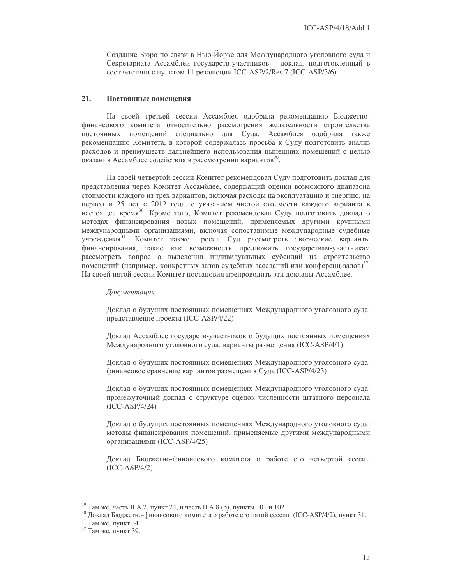Создание Бюро по связи в Нью-Йорке для Международного уголовного суда и Секретариата Ассамблеи государств-участников - доклад, подготовленный в соответствии с пунктом 11 резолюции ICC-ASP/2/Res.7 (ICC-ASP/3/6)

#### 21. Постоянные помещения

На своей третьей сессии Ассамблея одобрила рекомендацию Бюджетнофинансового комитета относительно рассмотрения желательности строительства постоянных помещений специально для Суда. Ассамблея одобрила также рекомендацию Комитета, в которой содержалась просьба к Суду подготовить анализ расходов и преимуществ дальнейшего использования нынешних помещений с целью оказания Ассамблее содействия в рассмотрении вариантов<sup>29</sup>.

На своей четвертой сессии Комитет рекомендовал Суду подготовить доклад для представления через Комитет Ассамблее, содержащий оценки возможного диапазона стоимости каждого из трех вариантов, включая расходы на эксплуатацию и энергию, на период в 25 лет с 2012 года, с указанием чистой стоимости каждого варианта в настоящее время<sup>30</sup>. Кроме того, Комитет рекомендовал Суду подготовить доклад о методах финансирования новых помещений, применяемых другими крупными международными организациями, включая сопоставимые международные судебные учреждения<sup>31</sup>. Комитет также просил Суд рассмотреть творческие варианты финансирования, такие как возможность предложить государствам-участникам рассмотреть вопрос о выделении индивидуальных субсидий на строительство помещений (например, конкретных залов судебных заседаний или конференц-залов)<sup>32</sup>. На своей пятой сессии Комитет постановил препроводить эти доклады Ассамблее.

### Документация

Доклад о будущих постоянных помещениях Международного уголовного суда: представление проекта (ICC-ASP/4/22)

Доклад Ассамблее государств-участников о будущих постоянных помещениях Международного уголовного суда: варианты размещения (ICC-ASP/4/1)

Доклад о будущих постоянных помещениях Международного уголовного суда: финансовое сравнение вариантов размещения Суда (ICC-ASP/4/23)

Доклад о будущих постоянных помещениях Международного уголовного суда: промежуточный доклад о структуре оценок численности штатного персонала  $(ICC-ASP/4/24)$ 

Доклад о будущих постоянных помещениях Международного уголовного суда: методы финансирования помещений, применяемые другими международными организациями (ICC-ASP/4/25)

Доклад Бюджетно-финансового комитета о работе его четвертой сессии  $(ICC-ASP/4/2)$ 

<sup>&</sup>lt;sup>29</sup> Там же, часть II.А.2, пункт 24, и часть II.А.8 (b), пункты 101 и 102.

зо Доклад Бюджетно-финансового комитета о работе его пятой сессии (ICC-ASP/4/2), пункт 31.

<sup>&</sup>lt;sup>31</sup> Там же, пункт 34.

 $32$  Там же, пункт 39.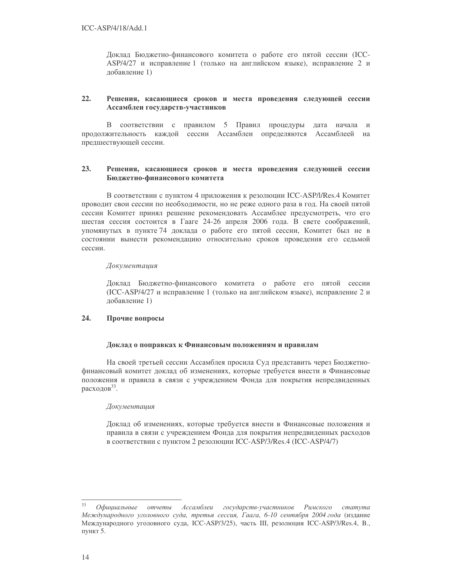Доклад Бюджетно-финансового комитета о работе его пятой сессии (ICC-ASP/4/27 и исправление 1 (только на английском языке), исправление 2 и добавление 1)

### $22.$ Решения, касающиеся сроков и места проведения следующей сессии Ассамблеи государств-участников

В соответствии с правилом 5 Правил процедуры дата начала и продолжительность каждой сессии Ассамблеи определяются Ассамблеей на предшествующей сессии.

### 23. Решения, касающиеся сроков и места проведения следующей сессии Бюджетно-финансового комитета

В соответствии с пунктом 4 приложения к резолюции ICC-ASP/l/Res.4 Комитет проводит свои сессии по необходимости, но не реже одного раза в год. На своей пятой сессии Комитет принял решение рекомендовать Ассамблее предусмотреть, что его шестая сессия состоится в Гааге 24-26 апреля 2006 года. В свете соображений, упомянутых в пункте 74 доклада о работе его пятой сессии, Комитет был не в состоянии вынести рекомендацию относительно сроков проведения его седьмой сессии.

### Документация

Доклад Бюджетно-финансового комитета о работе его пятой сессии (ICC-ASP/4/27 и исправление 1 (только на английском языке), исправление 2 и добавление 1)

### 24. Прочие вопросы

### Доклад о поправках к Финансовым положениям и правилам

На своей третьей сессии Ассамблея просила Суд представить через Бюджетнофинансовый комитет доклад об изменениях, которые требуется внести в Финансовые положения и правила в связи с учреждением Фонда для покрытия непредвиденных расходов $33$ .

## Документация

Доклад об изменениях, которые требуется внести в Финансовые положения и правила в связи с учреждением Фонда для покрытия непредвиденных расходов в соответствии с пунктом 2 резолюции ICC-ASP/3/Res.4 (ICC-ASP/4/7)

<sup>33</sup> Официальные отчеты Ассамблеи государств-участников Римского  $c$ mamyma Международного уголовного суда, третья сессия, Гаага, 6-10 сентября 2004 года (издание Международного уголовного суда, ICC-ASP/3/25), часть III, резолюция ICC-ASP/3/Res.4, В., пункт 5.